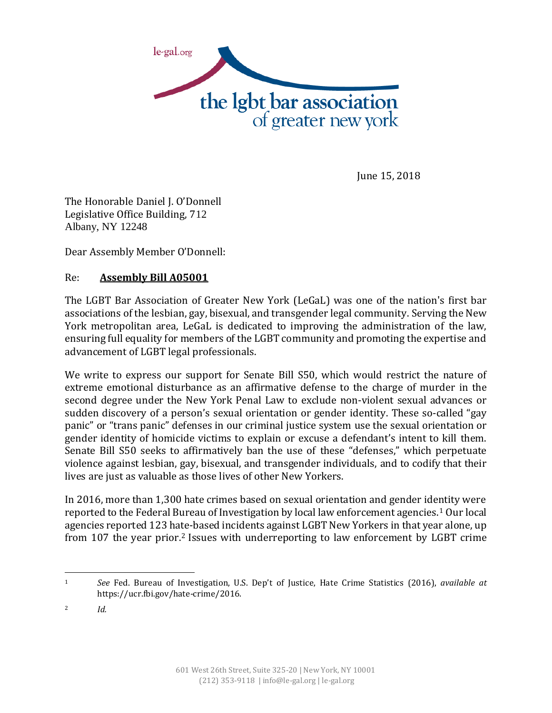

June 15, 2018

The Honorable Daniel I. O'Donnell Legislative Office Building, 712 Albany, NY 12248

Dear Assembly Member O'Donnell:

## Re: **Assembly Bill A05001**

The LGBT Bar Association of Greater New York (LeGaL) was one of the nation's first bar associations of the lesbian, gay, bisexual, and transgender legal community. Serving the New York metropolitan area, LeGaL is dedicated to improving the administration of the law, ensuring full equality for members of the LGBT community and promoting the expertise and advancement of LGBT legal professionals.

We write to express our support for Senate Bill S50, which would restrict the nature of extreme emotional disturbance as an affirmative defense to the charge of murder in the second degree under the New York Penal Law to exclude non-violent sexual advances or sudden discovery of a person's sexual orientation or gender identity. These so-called "gay panic" or "trans panic" defenses in our criminal justice system use the sexual orientation or gender identity of homicide victims to explain or excuse a defendant's intent to kill them. Senate Bill S50 seeks to affirmatively ban the use of these "defenses," which perpetuate violence against lesbian, gay, bisexual, and transgender individuals, and to codify that their lives are just as valuable as those lives of other New Yorkers.

In 2016, more than 1,300 hate crimes based on sexual orientation and gender identity were reported to the Federal Bureau of Investigation by local law enforcement agencies.<sup>1</sup> Our local agencies reported 123 hate-based incidents against LGBT New Yorkers in that year alone, up from 107 the year prior.<sup>2</sup> Issues with underreporting to law enforcement by LGBT crime

<sup>2</sup> *Id.*

<sup>1</sup> *See* Fed. Bureau of Investigation, U.S. Dep't of Justice, Hate Crime Statistics (2016), *available at* https://ucr.fbi.gov/hate-crime/2016.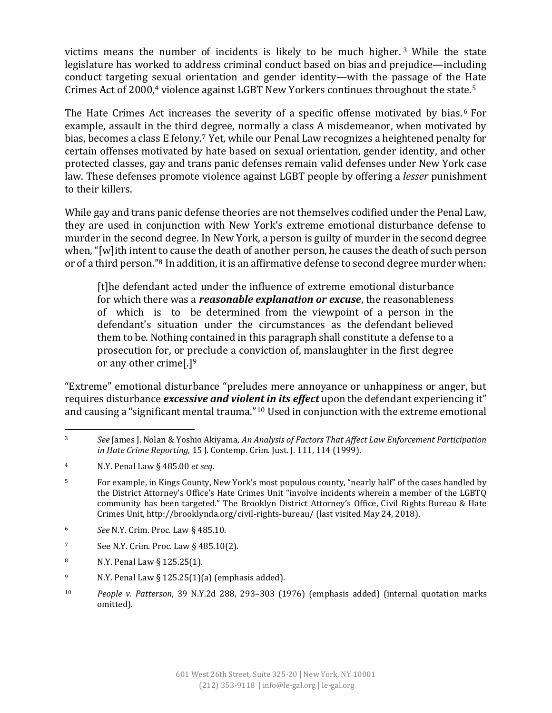victims means the number of incidents is likely to be much higher. <sup>3</sup> While the state legislature has worked to address criminal conduct based on bias and prejudice—including conduct targeting sexual orientation and gender identity—with the passage of the Hate Crimes Act of 2000,<sup>4</sup> violence against LGBT New Yorkers continues throughout the state.<sup>5</sup>

The Hate Crimes Act increases the severity of a specific offense motivated by bias.<sup>6</sup> For example, assault in the third degree, normally a class A misdemeanor, when motivated by bias, becomes a class E felony.<sup>7</sup> Yet, while our Penal Law recognizes a heightened penalty for certain offenses motivated by hate based on sexual orientation, gender identity, and other protected classes, gay and trans panic defenses remain valid defenses under New York case law. These defenses promote violence against LGBT people by offering a *lesser* punishment to their killers.

While gay and trans panic defense theories are not themselves codified under the Penal Law, they are used in conjunction with New York's extreme emotional disturbance defense to murder in the second degree. In New York, a person is guilty of murder in the second degree when, "[w]ith intent to cause the death of another person, he causes the death of such person or of a third person."<sup>8</sup> In addition, it is an affirmative defense to second degree murder when:

[t]he defendant acted under the influence of extreme emotional disturbance for which there was a *reasonable explanation or excuse*, the reasonableness of which is to be determined from the viewpoint of a person in the defendant's situation under the circumstances as the defendant believed them to be. Nothing contained in this paragraph shall constitute a defense to a prosecution for, or preclude a conviction of, manslaughter in the first degree or any other crime[.]<sup>9</sup>

"Extreme" emotional disturbance "preludes mere annoyance or unhappiness or anger, but requires disturbance *excessive and violent in its effect* upon the defendant experiencing it" and causing a "significant mental trauma."<sup>10</sup> Used in conjunction with the extreme emotional

 $\overline{a}$ 

<sup>8</sup> N.Y. Penal Law § 125.25(1).

<sup>3</sup> *See* James J. Nolan & Yoshio Akiyama, *An Analysis of Factors That Affect Law Enforcement Participation in Hate Crime Reporting,* 15 J. Contemp. Crim. Just. J. 111, 114 (1999).

<sup>4</sup> N.Y. Penal Law § 485.00 *et seq*.

<sup>5</sup> For example, in Kings County, New York's most populous county, "nearly half" of the cases handled by the District Attorney's Office's Hate Crimes Unit "involve incidents wherein a member of the LGBTQ community has been targeted." The Brooklyn District Attorney's Office, Civil Rights Bureau & Hate Crimes Unit, http://brooklynda.org/civil-rights-bureau/ (last visited May 24, 2018).

<sup>6</sup> *See* N.Y. Crim. Proc. Law § 485.10.

 $7$  See N.Y. Crim. Proc. Law § 485.10(2).

<sup>9</sup> N.Y. Penal Law § 125.25(1)(a) (emphasis added).

<sup>10</sup> *People v. Patterson*, 39 N.Y.2d 288, 293–303 (1976) (emphasis added) (internal quotation marks omitted).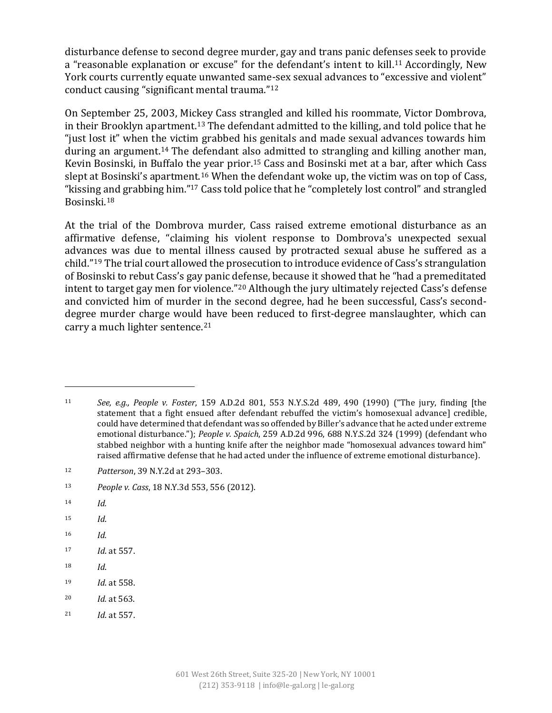disturbance defense to second degree murder, gay and trans panic defenses seek to provide a "reasonable explanation or excuse" for the defendant's intent to kill.<sup>11</sup> Accordingly, New York courts currently equate unwanted same-sex sexual advances to "excessive and violent" conduct causing "significant mental trauma."<sup>12</sup>

On September 25, 2003, Mickey Cass strangled and killed his roommate, Victor Dombrova, in their Brooklyn apartment.<sup>13</sup> The defendant admitted to the killing, and told police that he "just lost it" when the victim grabbed his genitals and made sexual advances towards him during an argument.<sup>14</sup> The defendant also admitted to strangling and killing another man, Kevin Bosinski, in Buffalo the year prior.<sup>15</sup> Cass and Bosinski met at a bar, after which Cass slept at Bosinski's apartment.<sup>16</sup> When the defendant woke up, the victim was on top of Cass, "kissing and grabbing him."<sup>17</sup> Cass told police that he "completely lost control" and strangled Bosinski. 18

At the trial of the Dombrova murder, Cass raised extreme emotional disturbance as an affirmative defense, "claiming his violent response to Dombrova's unexpected sexual advances was due to mental illness caused by protracted sexual abuse he suffered as a child."<sup>19</sup> The trial court allowed the prosecution to introduce evidence of Cass's strangulation of Bosinski to rebut Cass's gay panic defense, because it showed that he "had a premeditated intent to target gay men for violence."<sup>20</sup> Although the jury ultimately rejected Cass's defense and convicted him of murder in the second degree, had he been successful, Cass's seconddegree murder charge would have been reduced to first-degree manslaughter, which can carry a much lighter sentence. $21$ 

<sup>14</sup> *Id.*

- <sup>15</sup> *Id*.
- <sup>16</sup> *Id.*
- <sup>17</sup> *Id*. at 557.
- <sup>18</sup> *Id*.
- <sup>19</sup> *Id*. at 558.
- <sup>20</sup> *Id.* at 563.
- <sup>21</sup> *Id*. at 557.

<sup>11</sup> *See, e.g., People v. Foster*, 159 A.D.2d 801, 553 N.Y.S.2d 489, 490 (1990) ("The jury, finding [the statement that a fight ensued after defendant rebuffed the victim's homosexual advance] credible, could have determined that defendant was so offended by Biller's advance that he acted under extreme emotional disturbance."); *People v. Spaich*, 259 A.D.2d 996, 688 N.Y.S.2d 324 (1999) (defendant who stabbed neighbor with a hunting knife after the neighbor made "homosexual advances toward him" raised affirmative defense that he had acted under the influence of extreme emotional disturbance).

<sup>12</sup> *Patterson*, 39 N.Y.2d at 293–303.

<sup>13</sup> *People v. Cass*, 18 N.Y.3d 553, 556 (2012).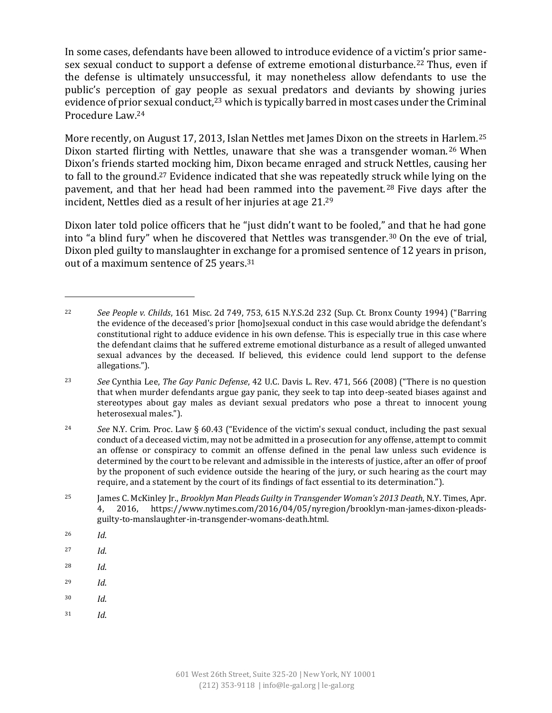In some cases, defendants have been allowed to introduce evidence of a victim's prior samesex sexual conduct to support a defense of extreme emotional disturbance.<sup>22</sup> Thus, even if the defense is ultimately unsuccessful, it may nonetheless allow defendants to use the public's perception of gay people as sexual predators and deviants by showing juries evidence of prior sexual conduct, $23$  which is typically barred in most cases under the Criminal Procedure Law.<sup>24</sup>

More recently, on August 17, 2013, Islan Nettles met James Dixon on the streets in Harlem.<sup>25</sup> Dixon started flirting with Nettles, unaware that she was a transgender woman.<sup>26</sup> When Dixon's friends started mocking him, Dixon became enraged and struck Nettles, causing her to fall to the ground.<sup>27</sup> Evidence indicated that she was repeatedly struck while lying on the pavement, and that her head had been rammed into the pavement.<sup>28</sup> Five days after the incident, Nettles died as a result of her injuries at age 21. 29

Dixon later told police officers that he "just didn't want to be fooled," and that he had gone into "a blind fury" when he discovered that Nettles was transgender.<sup>30</sup> On the eve of trial, Dixon pled guilty to manslaughter in exchange for a promised sentence of 12 years in prison, out of a maximum sentence of 25 years.<sup>31</sup>

l

- <sup>27</sup> *Id*.
- <sup>28</sup> *Id*.
- <sup>29</sup> *Id*.
- <sup>30</sup> *Id*.
- <sup>31</sup> *Id*.

<sup>22</sup> *See People v. Childs*, 161 Misc. 2d 749, 753, 615 N.Y.S.2d 232 (Sup. Ct. Bronx County 1994) ("Barring the evidence of the deceased's prior [homo]sexual conduct in this case would abridge the defendant's constitutional right to adduce evidence in his own defense. This is especially true in this case where the defendant claims that he suffered extreme emotional disturbance as a result of alleged unwanted sexual advances by the deceased. If believed, this evidence could lend support to the defense allegations.").

<sup>23</sup> *See* Cynthia Lee, *The Gay Panic Defense*, 42 U.C. Davis L. Rev. 471, 566 (2008) ("There is no question that when murder defendants argue gay panic, they seek to tap into deep-seated biases against and stereotypes about gay males as deviant sexual predators who pose a threat to innocent young heterosexual males.").

<sup>24</sup> *See* N.Y. Crim. Proc. Law § 60.43 ("Evidence of the victim's sexual conduct, including the past sexual conduct of a deceased victim, may not be admitted in a prosecution for any offense, attempt to commit an offense or conspiracy to commit an offense defined in the penal law unless such evidence is determined by the court to be relevant and admissible in the interests of justice, after an offer of proof by the proponent of such evidence outside the hearing of the jury, or such hearing as the court may require, and a statement by the court of its findings of fact essential to its determination.").

<sup>25</sup> James C. McKinley Jr., *Brooklyn Man Pleads Guilty in Transgender Woman's 2013 Death*, N.Y. Times, Apr. 4, 2016, https://www.nytimes.com/2016/04/05/nyregion/brooklyn-man-james-dixon-pleadsguilty-to-manslaughter-in-transgender-womans-death.html.

<sup>26</sup> *Id*.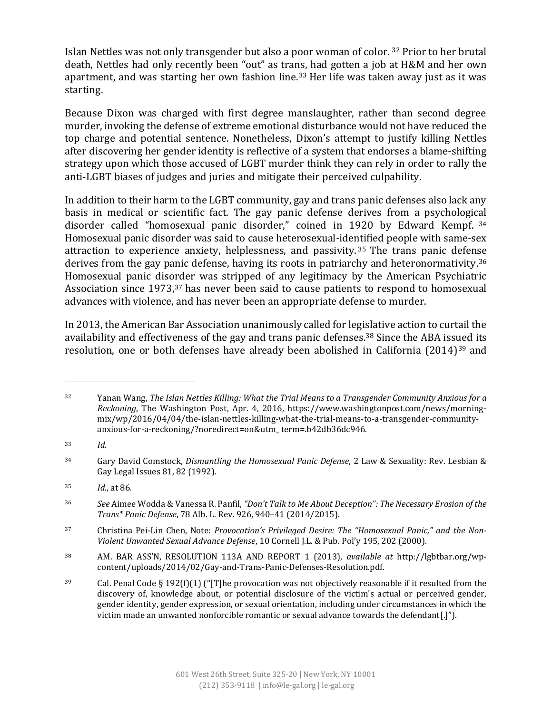Islan Nettles was not only transgender but also a poor woman of color. <sup>32</sup> Prior to her brutal death, Nettles had only recently been "out" as trans, had gotten a job at H&M and her own apartment, and was starting her own fashion line.<sup>33</sup> Her life was taken away just as it was starting.

Because Dixon was charged with first degree manslaughter, rather than second degree murder, invoking the defense of extreme emotional disturbance would not have reduced the top charge and potential sentence. Nonetheless, Dixon's attempt to justify killing Nettles after discovering her gender identity is reflective of a system that endorses a blame-shifting strategy upon which those accused of LGBT murder think they can rely in order to rally the anti-LGBT biases of judges and juries and mitigate their perceived culpability.

In addition to their harm to the LGBT community, gay and trans panic defenses also lack any basis in medical or scientific fact. The gay panic defense derives from a psychological disorder called "homosexual panic disorder," coined in 1920 by Edward Kempf. <sup>34</sup> Homosexual panic disorder was said to cause heterosexual-identified people with same-sex attraction to experience anxiety, helplessness, and passivity. <sup>35</sup> The trans panic defense derives from the gay panic defense, having its roots in patriarchy and heteronormativity.<sup>36</sup> Homosexual panic disorder was stripped of any legitimacy by the American Psychiatric Association since 1973,<sup>37</sup> has never been said to cause patients to respond to homosexual advances with violence, and has never been an appropriate defense to murder.

In 2013, the American Bar Association unanimously called for legislative action to curtail the availability and effectiveness of the gay and trans panic defenses.<sup>38</sup> Since the ABA issued its resolution, one or both defenses have already been abolished in California (2014)<sup>39</sup> and

<sup>32</sup> Yanan Wang, *The Islan Nettles Killing: What the Trial Means to a Transgender Community Anxious for a Reckoning*, The Washington Post, Apr. 4, 2016, https://www.washingtonpost.com/news/morningmix/wp/2016/04/04/the-islan-nettles-killing-what-the-trial-means-to-a-transgender-communityanxious-for-a-reckoning/?noredirect=on&utm\_ term=.b42db36dc946.

<sup>33</sup> *Id*.

<sup>34</sup> Gary David Comstock, *Dismantling the Homosexual Panic Defense*, 2 Law & Sexuality: Rev. Lesbian & Gay Legal Issues 81, 82 (1992).

<sup>35</sup> *Id.*, at 86.

<sup>36</sup> *See* Aimee Wodda & Vanessa R. Panfil, *"Don't Talk to Me About Deception": The Necessary Erosion of the Trans\* Panic Defense*, 78 Alb. L. Rev. 926, 940–41 (2014/2015).

<sup>37</sup> Christina Pei-Lin Chen, Note: *Provocation's Privileged Desire: The "Homosexual Panic," and the Non-Violent Unwanted Sexual Advance Defense*, 10 Cornell J.L. & Pub. Pol'y 195, 202 (2000).

<sup>38</sup> AM. BAR ASS'N, RESOLUTION 113A AND REPORT 1 (2013), *available at* http://lgbtbar.org/wpcontent/uploads/2014/02/Gay-and-Trans-Panic-Defenses-Resolution.pdf.

<sup>&</sup>lt;sup>39</sup> Cal. Penal Code § 192(f)(1) ("[T]he provocation was not objectively reasonable if it resulted from the discovery of, knowledge about, or potential disclosure of the victim's actual or perceived gender, gender identity, gender expression, or sexual orientation, including under circumstances in which the victim made an unwanted nonforcible romantic or sexual advance towards the defendant[.]").